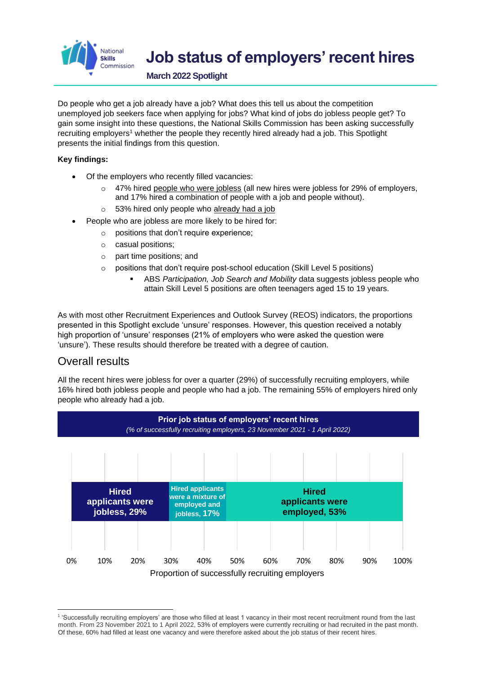

# **Job status of employers' recent hires**

**March 2022 Spotlight**

Do people who get a job already have a job? What does this tell us about the competition unemployed job seekers face when applying for jobs? What kind of jobs do jobless people get? To gain some insight into these questions, the National Skills Commission has been asking successfully recruiting employers<sup>1</sup> whether the people they recently hired already had a job. This Spotlight presents the initial findings from this question.

#### **Key findings:**

- Of the employers who recently filled vacancies:
	- 47% hired people who were jobless (all new hires were jobless for 29% of employers, and 17% hired a combination of people with a job and people without).
	- o 53% hired only people who already had a job
	- People who are jobless are more likely to be hired for:
		- o positions that don't require experience;
		- o casual positions;
		- o part time positions; and
		- o positions that don't require post-school education (Skill Level 5 positions)
			- ABS *Participation, Job Search and Mobility* data suggests jobless people who attain Skill Level 5 positions are often teenagers aged 15 to 19 years.

As with most other Recruitment Experiences and Outlook Survey (REOS) indicators, the proportions presented in this Spotlight exclude 'unsure' responses. However, this question received a notably high proportion of 'unsure' responses (21% of employers who were asked the question were 'unsure'). These results should therefore be treated with a degree of caution.

### Overall results

All the recent hires were jobless for over a quarter (29%) of successfully recruiting employers, while 16% hired both jobless people and people who had a job. The remaining 55% of employers hired only people who already had a job.



<sup>1</sup> 'Successfully recruiting employers' are those who filled at least 1 vacancy in their most recent recruitment round from the last month. From 23 November 2021 to 1 April 2022, 53% of employers were currently recruiting or had recruited in the past month. Of these, 60% had filled at least one vacancy and were therefore asked about the job status of their recent hires.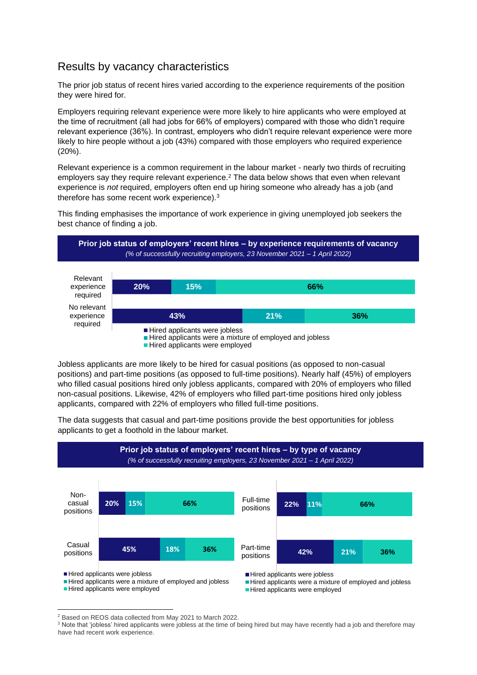## Results by vacancy characteristics

The prior job status of recent hires varied according to the experience requirements of the position they were hired for.

Employers requiring relevant experience were more likely to hire applicants who were employed at the time of recruitment (all had jobs for 66% of employers) compared with those who didn't require relevant experience (36%). In contrast, employers who didn't require relevant experience were more likely to hire people without a job (43%) compared with those employers who required experience (20%).

Relevant experience is a common requirement in the labour market - nearly two thirds of recruiting employers say they require relevant experience.<sup>2</sup> The data below shows that even when relevant experience is *not* required, employers often end up hiring someone who already has a job (and therefore has some recent work experience).<sup>3</sup>

This finding emphasises the importance of work experience in giving unemployed job seekers the best chance of finding a job.



Hired applicants were employed

Jobless applicants are more likely to be hired for casual positions (as opposed to non-casual positions) and part-time positions (as opposed to full-time positions). Nearly half (45%) of employers who filled casual positions hired only jobless applicants, compared with 20% of employers who filled non-casual positions. Likewise, 42% of employers who filled part-time positions hired only jobless applicants, compared with 22% of employers who filled full-time positions.

The data suggests that casual and part-time positions provide the best opportunities for jobless applicants to get a foothold in the labour market.



Hired applicants were a mixture of employed and jobless Hired applicants were employed

Hired applicants were a mixture of employed and jobless

Hired applicants were employed

<sup>2</sup> Based on REOS data collected from May 2021 to March 2022.

<sup>&</sup>lt;sup>3</sup> Note that 'jobless' hired applicants were jobless at the time of being hired but may have recently had a job and therefore may have had recent work experience.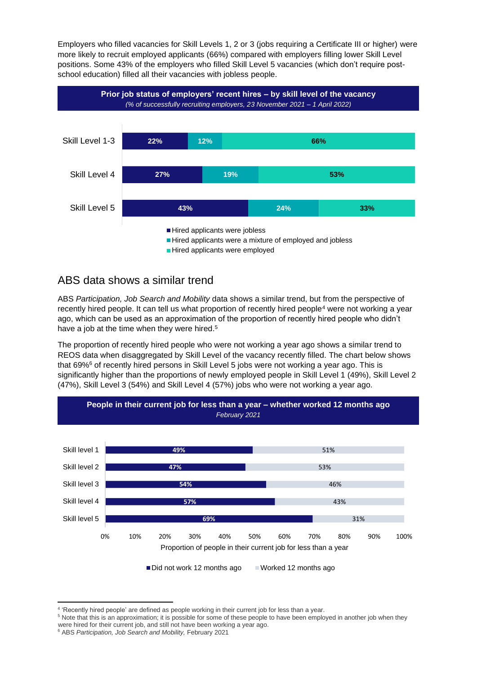Employers who filled vacancies for Skill Levels 1, 2 or 3 (jobs requiring a Certificate III or higher) were more likely to recruit employed applicants (66%) compared with employers filling lower Skill Level positions. Some 43% of the employers who filled Skill Level 5 vacancies (which don't require postschool education) filled all their vacancies with jobless people.



### ABS data shows a similar trend

ABS *Participation, Job Search and Mobility* data shows a similar trend, but from the perspective of recently hired people. It can tell us what proportion of recently hired people<sup>4</sup> were not working a year ago, which can be used as an approximation of the proportion of recently hired people who didn't have a job at the time when they were hired.<sup>5</sup>

The proportion of recently hired people who were not working a year ago shows a similar trend to REOS data when disaggregated by Skill Level of the vacancy recently filled. The chart below shows that 69%<sup>6</sup> of recently hired persons in Skill Level 5 jobs were not working a year ago. This is significantly higher than the proportions of newly employed people in Skill Level 1 (49%), Skill Level 2 (47%), Skill Level 3 (54%) and Skill Level 4 (57%) jobs who were not working a year ago.



<sup>4</sup> 'Recently hired people' are defined as people working in their current job for less than a year.

<sup>&</sup>lt;sup>5</sup> Note that this is an approximation; it is possible for some of these people to have been employed in another job when they were hired for their current job, and still not have been working a year ago.

<sup>6</sup> ABS *Participation, Job Search and Mobility,* February 2021